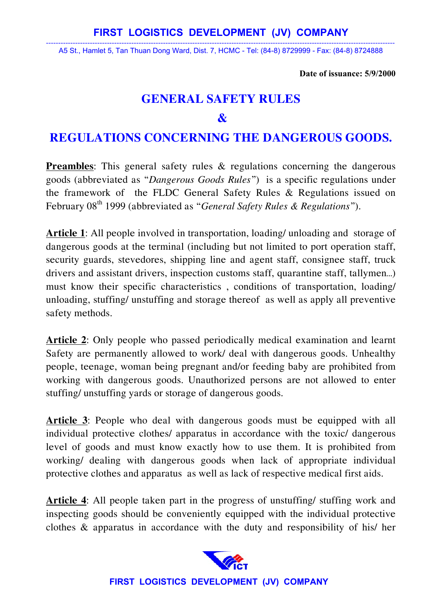----------------------------------------------------------------------------------------------------------------------------------------------- A5 St., Hamlet 5, Tan Thuan Dong Ward, Dist. 7, HCMC - Tel: (84-8) 8729999 - Fax: (84-8) 8724888

**Date of issuance: 5/9/2000** 

## **GENERAL SAFETY RULES**

#### $\mathbf{\mathcal{R}}$

# **REGULATIONS CONCERNING THE DANGEROUS GOODS.**

**Preambles**: This general safety rules & regulations concerning the dangerous goods (abbreviated as "*Dangerous Goods Rules*") is a specific regulations under the framework of the FLDC General Safety Rules & Regulations issued on February 08<sup>th</sup> 1999 (abbreviated as "*General Safety Rules & Regulations*").

**Article 1**: All people involved in transportation, loading/ unloading and storage of dangerous goods at the terminal (including but not limited to port operation staff, security guards, stevedores, shipping line and agent staff, consignee staff, truck drivers and assistant drivers, inspection customs staff, quarantine staff, tallymen…) must know their specific characteristics , conditions of transportation, loading/ unloading, stuffing/ unstuffing and storage thereof as well as apply all preventive safety methods.

**Article 2**: Only people who passed periodically medical examination and learnt Safety are permanently allowed to work/ deal with dangerous goods. Unhealthy people, teenage, woman being pregnant and/or feeding baby are prohibited from working with dangerous goods. Unauthorized persons are not allowed to enter stuffing/ unstuffing yards or storage of dangerous goods.

**Article 3**: People who deal with dangerous goods must be equipped with all individual protective clothes/ apparatus in accordance with the toxic/ dangerous level of goods and must know exactly how to use them. It is prohibited from working/ dealing with dangerous goods when lack of appropriate individual protective clothes and apparatus as well as lack of respective medical first aids.

**Article 4**: All people taken part in the progress of unstuffing/ stuffing work and inspecting goods should be conveniently equipped with the individual protective clothes & apparatus in accordance with the duty and responsibility of his/ her

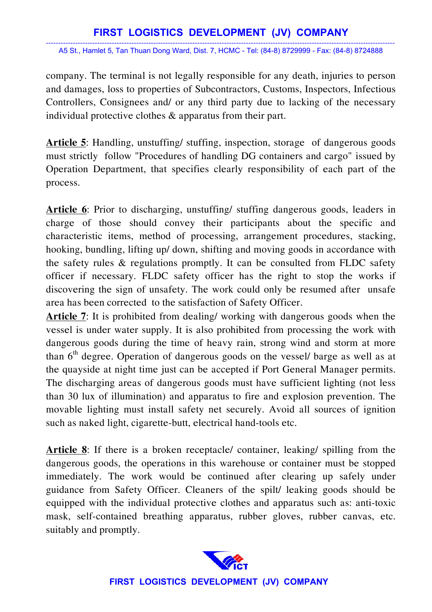### **FIRST LOGISTICS DEVELOPMENT (JV) COMPANY**

----------------------------------------------------------------------------------------------------------------------------------------------- A5 St., Hamlet 5, Tan Thuan Dong Ward, Dist. 7, HCMC - Tel: (84-8) 8729999 - Fax: (84-8) 8724888

company. The terminal is not legally responsible for any death, injuries to person and damages, loss to properties of Subcontractors, Customs, Inspectors, Infectious Controllers, Consignees and/ or any third party due to lacking of the necessary individual protective clothes & apparatus from their part.

**Article 5**: Handling, unstuffing/ stuffing, inspection, storage of dangerous goods must strictly follow "Procedures of handling DG containers and cargo" issued by Operation Department, that specifies clearly responsibility of each part of the process.

**Article 6**: Prior to discharging, unstuffing/ stuffing dangerous goods, leaders in charge of those should convey their participants about the specific and characteristic items, method of processing, arrangement procedures, stacking, hooking, bundling, lifting up/ down, shifting and moving goods in accordance with the safety rules & regulations promptly. It can be consulted from FLDC safety officer if necessary. FLDC safety officer has the right to stop the works if discovering the sign of unsafety. The work could only be resumed after unsafe area has been corrected to the satisfaction of Safety Officer.

**Article 7**: It is prohibited from dealing/ working with dangerous goods when the vessel is under water supply. It is also prohibited from processing the work with dangerous goods during the time of heavy rain, strong wind and storm at more than  $6<sup>th</sup>$  degree. Operation of dangerous goods on the vessel/ barge as well as at the quayside at night time just can be accepted if Port General Manager permits. The discharging areas of dangerous goods must have sufficient lighting (not less than 30 lux of illumination) and apparatus to fire and explosion prevention. The movable lighting must install safety net securely. Avoid all sources of ignition such as naked light, cigarette-butt, electrical hand-tools etc.

**Article 8**: If there is a broken receptacle/ container, leaking/ spilling from the dangerous goods, the operations in this warehouse or container must be stopped immediately. The work would be continued after clearing up safely under guidance from Safety Officer. Cleaners of the spilt/ leaking goods should be equipped with the individual protective clothes and apparatus such as: anti-toxic mask, self-contained breathing apparatus, rubber gloves, rubber canvas, etc. suitably and promptly.



**FIRST LOGISTICS DEVELOPMENT (JV) COMPANY**